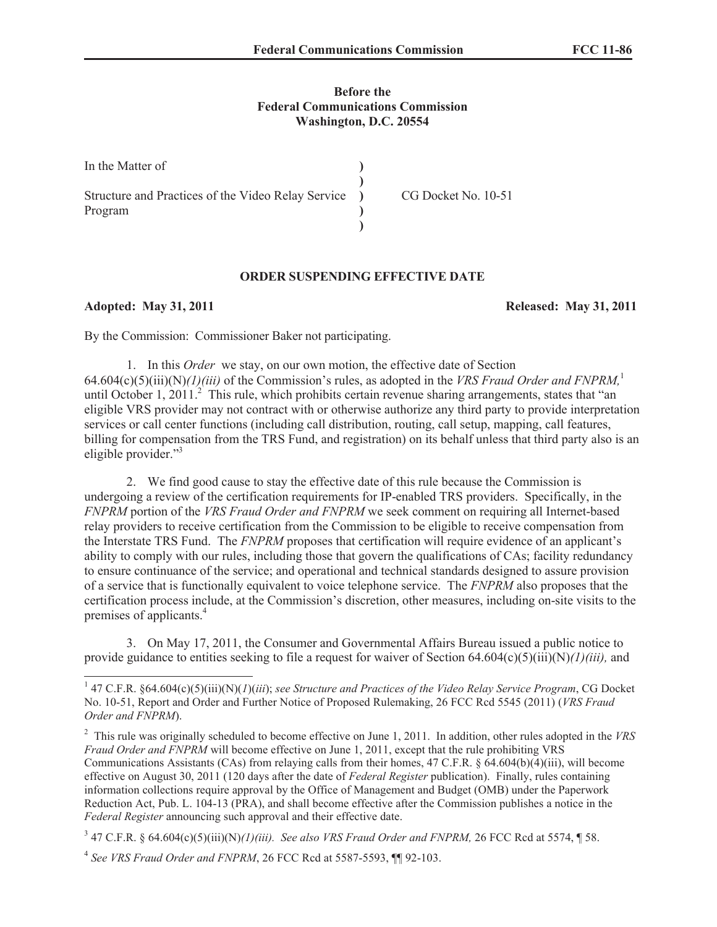# **Before the Federal Communications Commission Washington, D.C. 20554**

| In the Matter of                                   |                     |
|----------------------------------------------------|---------------------|
| Structure and Practices of the Video Relay Service | CG Docket No. 10-51 |
| Program                                            |                     |
|                                                    |                     |

# **ORDER SUSPENDING EFFECTIVE DATE**

**Adopted: May 31, 2011 Released: May 31, 2011**

By the Commission: Commissioner Baker not participating.

1. In this *Order* we stay, on our own motion, the effective date of Section 64.604(c)(5)(iii)(N)*(1)(iii)* of the Commission's rules, as adopted in the *VRS Fraud Order and FNPRM,*<sup>1</sup> until October 1, 2011.<sup>2</sup> This rule, which prohibits certain revenue sharing arrangements, states that "an eligible VRS provider may not contract with or otherwise authorize any third party to provide interpretation services or call center functions (including call distribution, routing, call setup, mapping, call features, billing for compensation from the TRS Fund, and registration) on its behalf unless that third party also is an eligible provider."<sup>3</sup>

2. We find good cause to stay the effective date of this rule because the Commission is undergoing a review of the certification requirements for IP-enabled TRS providers. Specifically, in the *FNPRM* portion of the *VRS Fraud Order and FNPRM* we seek comment on requiring all Internet-based relay providers to receive certification from the Commission to be eligible to receive compensation from the Interstate TRS Fund. The *FNPRM* proposes that certification will require evidence of an applicant's ability to comply with our rules, including those that govern the qualifications of CAs; facility redundancy to ensure continuance of the service; and operational and technical standards designed to assure provision of a service that is functionally equivalent to voice telephone service. The *FNPRM* also proposes that the certification process include, at the Commission's discretion, other measures, including on-site visits to the premises of applicants.<sup>4</sup>

3. On May 17, 2011, the Consumer and Governmental Affairs Bureau issued a public notice to provide guidance to entities seeking to file a request for waiver of Section 64.604(c)(5)(iii)(N)*(1)(iii),* and

<sup>1</sup> 47 C.F.R. §64.604(c)(5)(iii)(N)(*1*)(*iii*); *see Structure and Practices of the Video Relay Service Program*, CG Docket No. 10-51, Report and Order and Further Notice of Proposed Rulemaking, 26 FCC Rcd 5545 (2011) (*VRS Fraud Order and FNPRM*).

<sup>2</sup> This rule was originally scheduled to become effective on June 1, 2011. In addition, other rules adopted in the *VRS Fraud Order and FNPRM* will become effective on June 1, 2011, except that the rule prohibiting VRS Communications Assistants (CAs) from relaying calls from their homes, 47 C.F.R. § 64.604(b)(4)(iii), will become effective on August 30, 2011 (120 days after the date of *Federal Register* publication). Finally, rules containing information collections require approval by the Office of Management and Budget (OMB) under the Paperwork Reduction Act, Pub. L. 104-13 (PRA), and shall become effective after the Commission publishes a notice in the *Federal Register* announcing such approval and their effective date.

 $^{3}$  47 C.F.R. § 64.604(c)(5)(iii)(N)(l)(iii). See also *VRS Fraud Order and FNPRM*, 26 FCC Rcd at 5574, ¶ 58.

<sup>4</sup> *See VRS Fraud Order and FNPRM*, 26 FCC Rcd at 5587-5593, ¶¶ 92-103.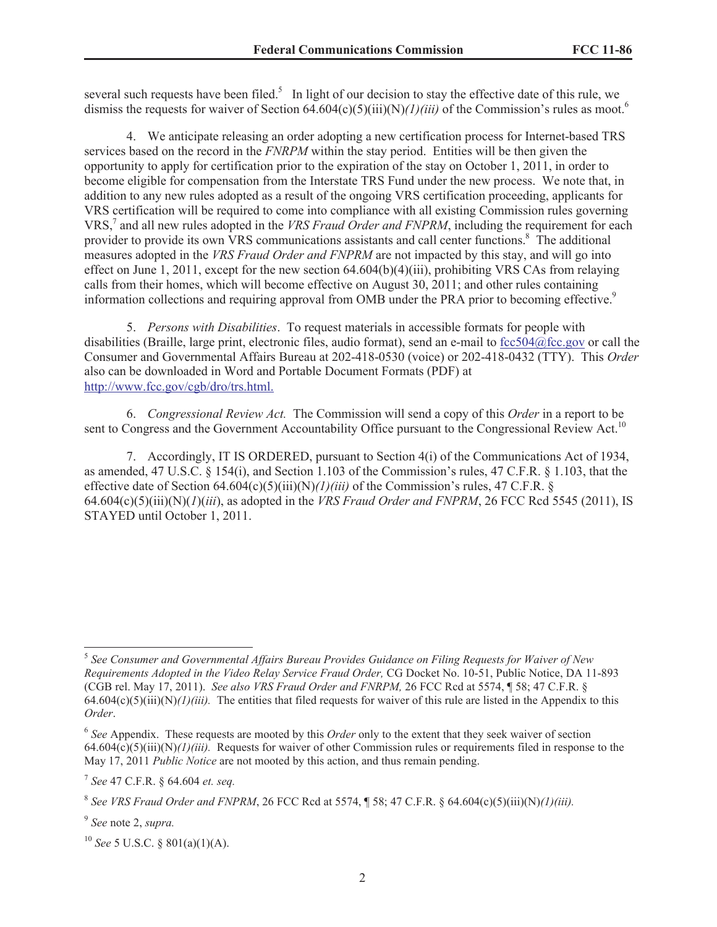several such requests have been filed.<sup>5</sup> In light of our decision to stay the effective date of this rule, we dismiss the requests for waiver of Section 64.604(c)(5)(iii)(N)*(1)(iii)* of the Commission's rules as moot.<sup>6</sup>

4. We anticipate releasing an order adopting a new certification process for Internet-based TRS services based on the record in the *FNRPM* within the stay period. Entities will be then given the opportunity to apply for certification prior to the expiration of the stay on October 1, 2011, in order to become eligible for compensation from the Interstate TRS Fund under the new process. We note that, in addition to any new rules adopted as a result of the ongoing VRS certification proceeding, applicants for VRS certification will be required to come into compliance with all existing Commission rules governing VRS,<sup>7</sup> and all new rules adopted in the *VRS Fraud Order and FNPRM*, including the requirement for each provider to provide its own VRS communications assistants and call center functions.<sup>8</sup> The additional measures adopted in the *VRS Fraud Order and FNPRM* are not impacted by this stay, and will go into effect on June 1, 2011, except for the new section 64.604(b)(4)(iii), prohibiting VRS CAs from relaying calls from their homes, which will become effective on August 30, 2011; and other rules containing information collections and requiring approval from OMB under the PRA prior to becoming effective.<sup>9</sup>

5. *Persons with Disabilities*. To request materials in accessible formats for people with disabilities (Braille, large print, electronic files, audio format), send an e-mail to fcc504@fcc.gov or call the Consumer and Governmental Affairs Bureau at 202-418-0530 (voice) or 202-418-0432 (TTY). This *Order*  also can be downloaded in Word and Portable Document Formats (PDF) at http://www.fcc.gov/cgb/dro/trs.html.

6. *Congressional Review Act.* The Commission will send a copy of this *Order* in a report to be sent to Congress and the Government Accountability Office pursuant to the Congressional Review Act.<sup>10</sup>

7. Accordingly, IT IS ORDERED, pursuant to Section 4(i) of the Communications Act of 1934, as amended, 47 U.S.C. § 154(i), and Section 1.103 of the Commission's rules, 47 C.F.R. § 1.103, that the effective date of Section  $64.604(c)(5)(iii)(N)/1/(iii)$  of the Commission's rules, 47 C.F.R. §  $64.604(c)(5)(iii)(N)(I)(iii)$ , as adopted in the *VRS Fraud Order and FNPRM*, 26 FCC Rcd 5545 (2011), IS STAYED until October 1, 2011.

<sup>5</sup> *See Consumer and Governmental Affairs Bureau Provides Guidance on Filing Requests for Waiver of New Requirements Adopted in the Video Relay Service Fraud Order,* CG Docket No. 10-51, Public Notice, DA 11-893 (CGB rel. May 17, 2011). *See also VRS Fraud Order and FNRPM,* 26 FCC Rcd at 5574, ¶ 58; 47 C.F.R. §  $64.604(c)(5)(iii)(N)/I)/(iii)$ . The entities that filed requests for waiver of this rule are listed in the Appendix to this *Order*.

<sup>6</sup> *See* Appendix. These requests are mooted by this *Order* only to the extent that they seek waiver of section 64.604(c)(5)(iii)(N)*(1)(iii).* Requests for waiver of other Commission rules or requirements filed in response to the May 17, 2011 *Public Notice* are not mooted by this action, and thus remain pending.

<sup>7</sup> *See* 47 C.F.R. § 64.604 *et. seq.*

<sup>&</sup>lt;sup>8</sup> See VRS Fraud Order and FNPRM, 26 FCC Rcd at 5574, ¶ 58; 47 C.F.R. § 64.604(c)(5)(iii)(N)(1)(iii).

<sup>9</sup> *See* note 2, *supra.*

<sup>10</sup> *See* 5 U.S.C. § 801(a)(1)(A).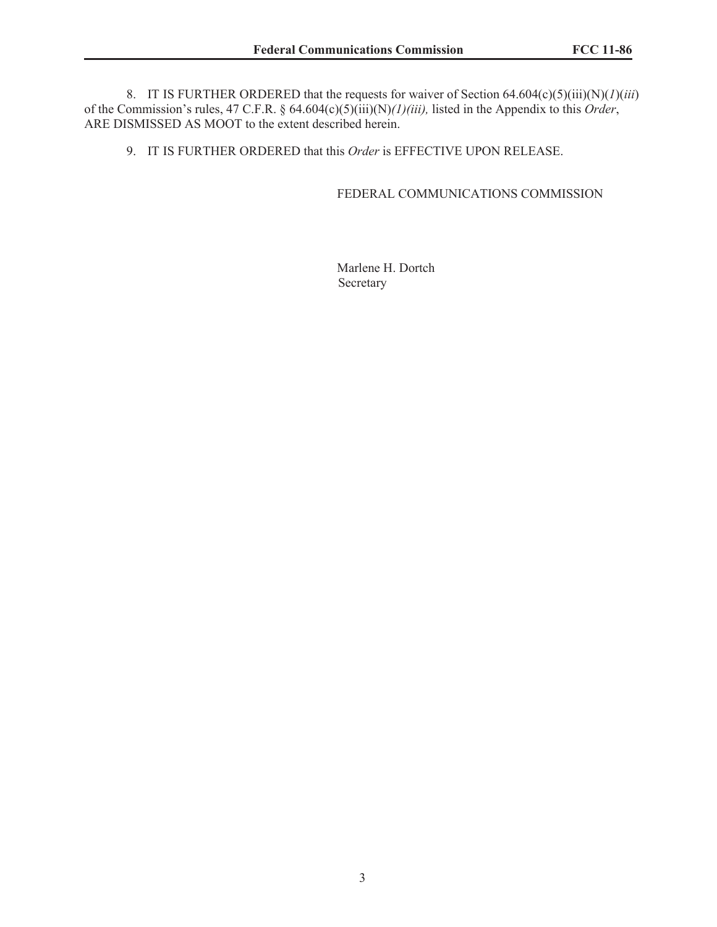8. IT IS FURTHER ORDERED that the requests for waiver of Section 64.604(c)(5)(iii)(N)(*1*)(*iii*) of the Commission's rules, 47 C.F.R. § 64.604(c)(5)(iii)(N)*(1)(iii),* listed in the Appendix to this *Order*, ARE DISMISSED AS MOOT to the extent described herein.

9. IT IS FURTHER ORDERED that this *Order* is EFFECTIVE UPON RELEASE.

# FEDERAL COMMUNICATIONS COMMISSION

Marlene H. Dortch Secretary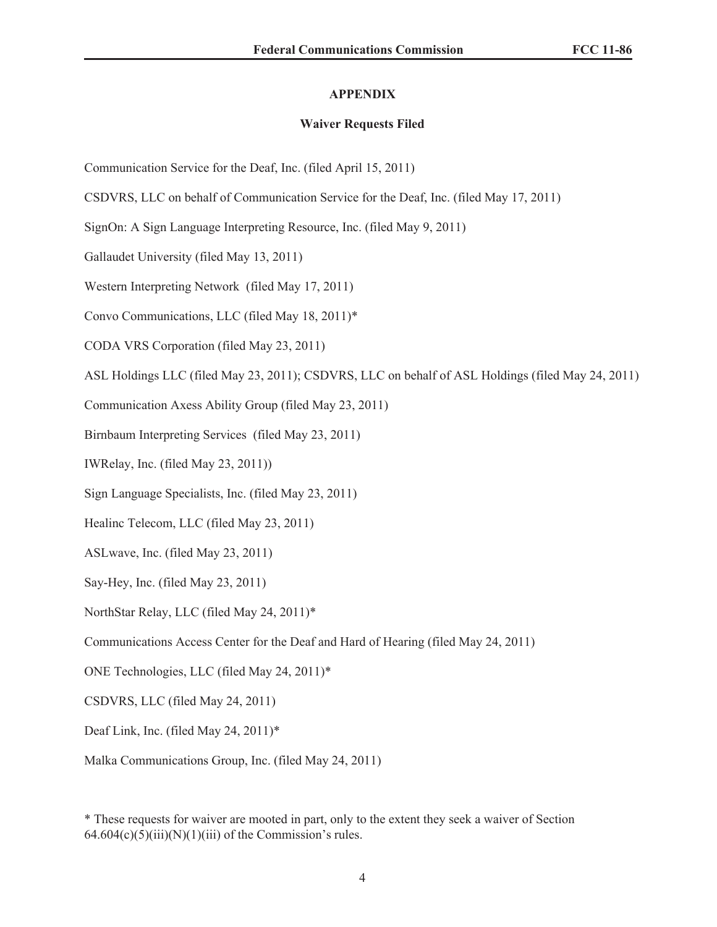## **APPENDIX**

### **Waiver Requests Filed**

Communication Service for the Deaf, Inc. (filed April 15, 2011)

CSDVRS, LLC on behalf of Communication Service for the Deaf, Inc. (filed May 17, 2011)

SignOn: A Sign Language Interpreting Resource, Inc. (filed May 9, 2011)

Gallaudet University (filed May 13, 2011)

Western Interpreting Network (filed May 17, 2011)

Convo Communications, LLC (filed May 18, 2011)\*

CODA VRS Corporation (filed May 23, 2011)

ASL Holdings LLC (filed May 23, 2011); CSDVRS, LLC on behalf of ASL Holdings (filed May 24, 2011)

Communication Axess Ability Group (filed May 23, 2011)

Birnbaum Interpreting Services (filed May 23, 2011)

IWRelay, Inc. (filed May 23, 2011))

Sign Language Specialists, Inc. (filed May 23, 2011)

Healinc Telecom, LLC (filed May 23, 2011)

ASLwave, Inc. (filed May 23, 2011)

Say-Hey, Inc. (filed May 23, 2011)

NorthStar Relay, LLC (filed May 24, 2011)\*

Communications Access Center for the Deaf and Hard of Hearing (filed May 24, 2011)

ONE Technologies, LLC (filed May 24, 2011)\*

CSDVRS, LLC (filed May 24, 2011)

Deaf Link, Inc. (filed May 24, 2011)\*

Malka Communications Group, Inc. (filed May 24, 2011)

\* These requests for waiver are mooted in part, only to the extent they seek a waiver of Section  $64.604(c)(5)(iii)(N)(1)(iii)$  of the Commission's rules.